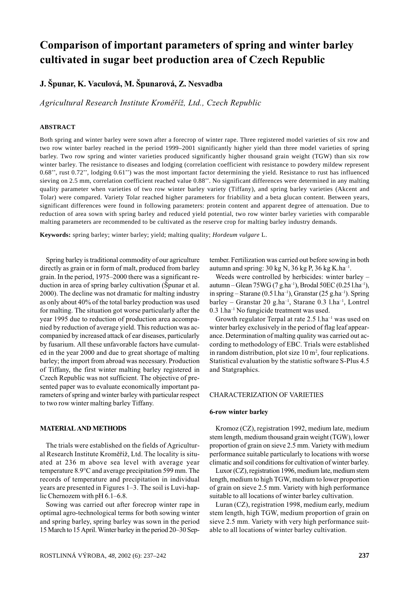# Comparison of important parameters of spring and winter barley cultivated in sugar beet production area of Czech Republic

J. Špunar, K. Vaculová, M. Špunarová, Z. Nesvadba

Agricultural Research Institute Kroměříž, Ltd., Czech Republic

## **ABSTRACT**

Both spring and winter barley were sown after a forecrop of winter rape. Three registered model varieties of six row and two row winter barley reached in the period 1999–2001 significantly higher yield than three model varieties of spring barley. Two row spring and winter varieties produced significantly higher thousand grain weight (TGW) than six row winter barley. The resistance to diseases and lodging (correlation coefficient with resistance to powdery mildew represent  $0.68$ <sup>\*\*</sup>, rust  $0.72$ <sup>\*\*</sup>, lodging  $0.61$ <sup>\*\*</sup>) was the most important factor determining the yield. Resistance to rust has influenced sieving on 2.5 mm, correlation coefficient reached value 0.88\*\*. No significant differences were determined in any malting quality parameter when varieties of two row winter barley variety (Tiffany), and spring barley varieties (Akcent and Tolar) were compared. Variety Tolar reached higher parameters for friability and a beta glucan content. Between years, significant differences were found in following parameters: protein content and apparent degree of attenuation. Due to reduction of area sown with spring barley and reduced yield potential, two row winter barley varieties with comparable malting parameters are recommended to be cultivated as the reserve crop for malting barley industry demands.

Keywords: spring barley; winter barley; yield; malting quality; Hordeum vulgare L.

Spring barley is traditional commodity of our agriculture directly as grain or in form of malt, produced from barley grain. In the period, 1975–2000 there was a significant reduction in area of spring barley cultivation (Spunar et al. 2000). The decline was not dramatic for malting industry as only about 40% of the total barley production was used for malting. The situation got worse particularly after the year 1995 due to reduction of production area accompanied by reduction of average yield. This reduction was accompanied by increased attack of ear diseases, particularly by fusarium. All these unfavorable factors have cumulated in the year 2000 and due to great shortage of malting barley; the import from abroad was necessary. Production of Tiffany, the first winter malting barley registered in Czech Republic was not sufficient. The objective of presented paper was to evaluate economically important parameters of spring and winter barley with particular respect to two row winter malting barley Tiffany.

#### **MATERIAL AND METHODS**

The trials were established on the fields of Agricultural Research Institute Kroměříž, Ltd. The locality is situated at 236 m above sea level with average year temperature 8.9°C and average precipitation 599 mm. The records of temperature and precipitation in individual years are presented in Figures 1-3. The soil is Luvi-haplic Chernozem with  $pH$  6.1–6.8.

Sowing was carried out after forecrop winter rape in optimal agro-technological terms for both sowing winter and spring barley, spring barley was sown in the period 15 March to 15 April. Winter barley in the period 20–30 September. Fertilization was carried out before sowing in both autumn and spring:  $30 \text{ kg N}$ ,  $36 \text{ kg P}$ ,  $36 \text{ kg K}$ .ha<sup>-1</sup>.

Weeds were controlled by herbicides: winter barley – autumn – Glean 75 WG (7 g.ha<sup>-1</sup>), Brodal 50 EC (0.25 l.ha<sup>-1</sup>), in spring – Starane (0.5 l.ha<sup>-1</sup>), Granstar (25 g.ha<sup>-1</sup>). Spring barley – Granstar 20 g.ha<sup>-1</sup>, Starane 0.3 l.ha<sup>-1</sup>, Lontrel 0.3 l.ha<sup>-1</sup> No fungicide treatment was used.

Growth regulator Terpal at rate 2.5 l.ha<sup>-1</sup> was used on winter barley exclusively in the period of flag leaf appearance. Determination of malting quality was carried out according to methodology of EBC. Trials were established in random distribution, plot size  $10 \text{ m}^2$ , four replications. Statistical evaluation by the statistic software S-Plus 4.5 and Statgraphics.

#### **CHARACTERIZATION OF VARIETIES**

#### 6-row winter barley

Kromoz (CZ), registration 1992, medium late, medium stem length, medium thousand grain weight (TGW), lower proportion of grain on sieve 2.5 mm. Variety with medium performance suitable particularly to locations with worse climatic and soil conditions for cultivation of winter barley.

Luxor (CZ), registration 1996, medium late, medium stem length, medium to high TGW, medium to lower proportion of grain on sieve 2.5 mm. Variety with high performance suitable to all locations of winter barley cultivation.

Luran (CZ), registration 1998, medium early, medium stem length, high TGW, medium proportion of grain on sieve 2.5 mm. Variety with very high performance suitable to all locations of winter barley cultivation.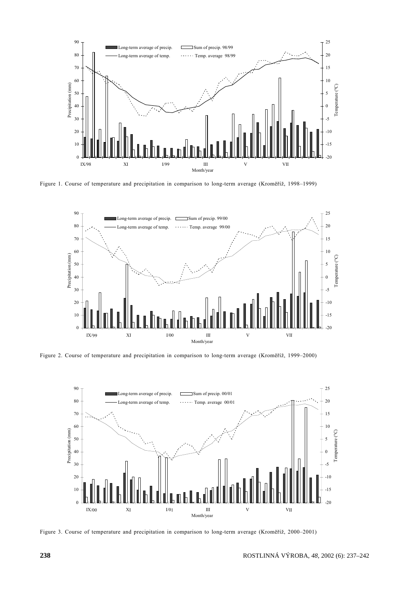

Figure 1. Course of temperature and precipitation in comparison to long-term average (Kroměříž, 1998–1999)



Figure 2. Course of temperature and precipitation in comparison to long-term average (Kroměříž, 1999–2000)



Figure 3. Course of temperature and precipitation in comparison to long-term average (Kroměříž, 2000-2001)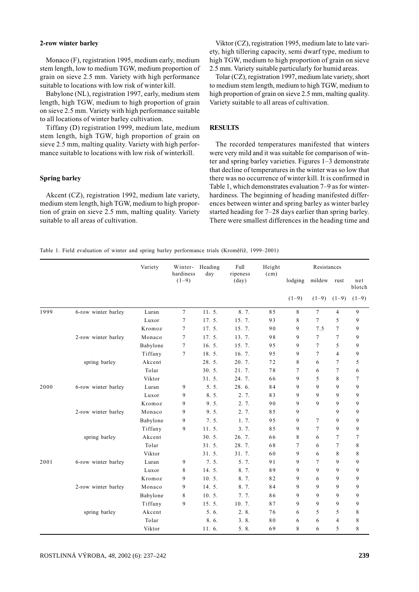#### 2-row winter barley

Monaco (F), registration 1995, medium early, medium stem length, low to medium TGW, medium proportion of grain on sieve 2.5 mm. Variety with high performance suitable to locations with low risk of winter kill.

Babylone (NL), registration 1997, early, medium stem length, high TGW, medium to high proportion of grain on sieve 2.5 mm. Variety with high performance suitable to all locations of winter barley cultivation.

Tiffany (D) registration 1999, medium late, medium stem length, high TGW, high proportion of grain on sieve 2.5 mm, malting quality. Variety with high performance suitable to locations with low risk of winterkill.

#### **Spring barley**

Akcent (CZ), registration 1992, medium late variety, medium stem length, high TGW, medium to high proportion of grain on sieve 2.5 mm, malting quality. Variety suitable to all areas of cultivation.

Viktor (CZ), registration 1995, medium late to late variety, high tillering capacity, semi dwarf type, medium to high TGW, medium to high proportion of grain on sieve 2.5 mm. Variety suitable particularly for humid areas.

Tolar (CZ), registration 1997, medium late variety, short to medium stem length, medium to high TGW, medium to high proportion of grain on sieve 2.5 mm, malting quality. Variety suitable to all areas of cultivation.

## **RESULTS**

The recorded temperatures manifested that winters were very mild and it was suitable for comparison of winter and spring barley varieties. Figures  $1-3$  demonstrate that decline of temperatures in the winter was so low that there was no occurrence of winter kill. It is confirmed in Table 1, which demonstrates evaluation 7-9 as for winterhardiness. The beginning of heading manifested differences between winter and spring barley as winter barley started heading for 7–28 days earlier than spring barley. There were smallest differences in the heading time and

Table 1. Field evaluation of winter and spring barley performance trials (Kroměříž, 1999–2001)

|      |                     | Variety  | hardiness      | Winter- Heading<br>day | Full<br>ripeness | Height<br>(cm) | Resistances |                |                |               |  |  |
|------|---------------------|----------|----------------|------------------------|------------------|----------------|-------------|----------------|----------------|---------------|--|--|
|      |                     |          | $(1-9)$        |                        | $\text{(day)}$   |                | lodging     | mildew         | rust           | net<br>blotch |  |  |
|      |                     |          |                |                        |                  |                | $(1-9)$     | $(1-9)$        | $(1-9)$        | $(1-9)$       |  |  |
| 1999 | 6-row winter barley | Luran    | $\tau$         | 11.5.                  | 8.7.             | 85             | 8           | $\tau$         | 4              | 9             |  |  |
|      |                     | Luxor    | $\overline{7}$ | 17.5.                  | 15.7.            | 93             | 8           | $\overline{7}$ | 5              | 9             |  |  |
|      |                     | Kromoz   | 7              | 17.5.                  | 15.7.            | 90             | 9           | 7.5            | 7              | 9             |  |  |
|      | 2-row winter barley | Monaco   | $\tau$         | 17.5.                  | 13.7.            | 98             | 9           | 7              | $\overline{7}$ | 9             |  |  |
|      |                     | Babylone | $\tau$         | 16.5.                  | 15.7.            | 95             | 9           | $\overline{7}$ | 5              | 9             |  |  |
|      |                     | Tiffany  | 7              | 18.5.                  | 16.7.            | 95             | 9           | $\overline{7}$ | $\overline{4}$ | 9             |  |  |
|      | spring barley       | Akcent   |                | 28.5.                  | 20.7.            | 72             | 8           | 6              | 7              | 5             |  |  |
|      |                     | Tolar    |                | 30.5.                  | 21.7.            | 78             | 7           | 6              | 7              | 6             |  |  |
|      |                     | Viktor   |                | 31.5.                  | 24. 7.           | 66             | 9           | 5              | 8              | 7             |  |  |
| 2000 | 6-row winter barley | Luran    | 9              | 5.5.                   | 28.6.            | 84             | 9           | $\mathbf{Q}$   | 9              | 9             |  |  |
|      |                     | Luxor    | 9              | 8.5.                   | 2.7.             | 83             | 9           | 9              | $\mathbf Q$    | 9             |  |  |
|      |                     | Kromoz   | 9              | 9.5.                   | 2.7.             | 90             | 9           | 9              | 9              | 9             |  |  |
|      | 2-row winter barley | Monaco   | 9              | 9.5.                   | 2. 7.            | 85             | 9           |                | 9              | 9             |  |  |
|      |                     | Babylone | 9              | 7.5.                   | 1, 7.            | 95             | 9           | $\overline{7}$ | 9              | 9             |  |  |
|      |                     | Tiffany  | 9              | 11.5.                  | 3.7.             | 85             | 9           | $\overline{7}$ | 9              | 9             |  |  |
|      | spring barley       | Akcent   |                | 30.5.                  | 26.7.            | 66             | 8           | 6              | 7              | 7             |  |  |
|      |                     | Tolar    |                | 31.5.                  | 28.7.            | 68             | 7           | 6              | 7              | 8             |  |  |
|      |                     | Viktor   |                | 31.5.                  | 31.7.            | 60             | 9           | 6              | 8              | 8             |  |  |
| 2001 | 6-row winter barley | Luran    | 9              | 7.5.                   | 5.7.             | 91             | 9           | $\tau$         | $\mathbf Q$    | 9             |  |  |
|      |                     | Luxor    | 8              | 14.5.                  | 8.7.             | 89             | 9           | $\mathbf Q$    | 9              | 9             |  |  |
|      |                     | Kromoz   | 9              | 10.5.                  | 8.7.             | 82             | 9           | 6              | 9              | 9             |  |  |
|      | 2-row winter barley | Monaco   | 9              | 14.5.                  | 8.7.             | 84             | 9           | 9              | 9              | 9             |  |  |
|      |                     | Babylone | 8              | 10.5.                  | 7.7.             | 86             | 9           | 9              | 9              | 9             |  |  |
|      |                     | Tiffany  | 9              | 15.5.                  | 10.7.            | 87             | 9           | 9              | 9              | 9             |  |  |
|      | spring barley       | Akcent   |                | 5.6.                   | 2.8.             | 76             | 6           | 5              | 5              | 8             |  |  |
|      |                     | Tolar    |                | 8.6.                   | 3.8.             | 80             | 6           | 6              | $\overline{4}$ | 8             |  |  |
|      |                     | Viktor   |                | 11.6.                  | 5.8.             | 69             | 8           | 6              | 5              | 8             |  |  |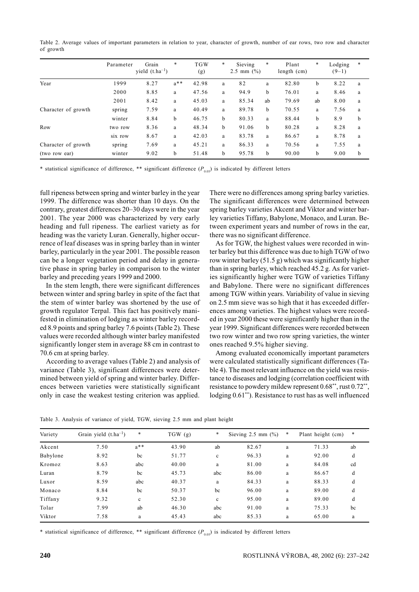Table 2. Average values of important parameters in relation to year, character of growth, number of ear rows, two row and character of growth

|                     | Parameter | Grain<br>yield $(t.ha^{-1})$ | $\ast$   | <b>TGW</b><br>(g) | * | Sieving<br>2.5 mm $(\frac{9}{0})$ | *  | Plant<br>length $(cm)$ | *  | Lodging<br>$(9-1)$ | * |
|---------------------|-----------|------------------------------|----------|-------------------|---|-----------------------------------|----|------------------------|----|--------------------|---|
| Year                | 1999      | 8.27                         | $a***$   | 42.98             | a | 82                                | a  | 82.80                  | b  | 8.22               | a |
|                     | 2000      | 8.85                         | a        | 47.56             | a | 94.9                              | b  | 76.01                  | a  | 8.46               | a |
|                     | 2001      | 8.42                         | a        | 45.03             | a | 85.34                             | ab | 79.69                  | ab | 8.00               | a |
| Character of growth | spring    | 7.59                         | $\rm{a}$ | 40.49             | a | 89.78                             | b  | 70.55                  | a  | 7.56               | a |
|                     | winter    | 8.84                         | b        | 46.75             | b | 80.33                             | a  | 88.44                  | b  | 8.9                | b |
| Row                 | two row   | 8.36                         | a        | 48.34             | b | 91.06                             | b  | 80.28                  | a  | 8.28               | a |
|                     | six row   | 8.67                         | a        | 42.03             | a | 83.78                             | a  | 86.67                  | a  | 8.78               | a |
| Character of growth | spring    | 7.69                         | a        | 45.21             | a | 86.33                             | a  | 70.56                  | a  | 7.55               | a |
| (two row ear)       | winter    | 9.02                         | b        | 51.48             | b | 95.78                             | b  | 90.00                  | b  | 9.00               | b |

\* statistical significance of difference, \*\* significant difference  $(P_{0.05})$  is indicated by different letters

full ripeness between spring and winter barley in the year 1999. The difference was shorter than 10 days. On the contrary, greatest differences 20-30 days were in the year 2001. The year 2000 was characterized by very early heading and full ripeness. The earliest variety as for heading was the variety Luran. Generally, higher occurrence of leaf diseases was in spring barley than in winter barley, particularly in the year 2001. The possible reason can be a longer vegetation period and delay in generative phase in spring barley in comparison to the winter barley and preceding years 1999 and 2000.

In the stem length, there were significant differences between winter and spring barley in spite of the fact that the stem of winter barley was shortened by the use of growth regulator Terpal. This fact has positively manifested in elimination of lodging as winter barley recorded 8.9 points and spring barley 7.6 points (Table 2). These values were recorded although winter barley manifested significantly longer stem in average 88 cm in contrast to 70.6 cm at spring barley.

According to average values (Table 2) and analysis of variance (Table 3), significant differences were determined between yield of spring and winter barley. Differences between varieties were statistically significant only in case the weakest testing criterion was applied.

There were no differences among spring barley varieties. The significant differences were determined between spring barley varieties Akcent and Viktor and winter barley varieties Tiffany, Babylone, Monaco, and Luran. Between experiment years and number of rows in the ear, there was no significant difference.

As for TGW, the highest values were recorded in winter barley but this difference was due to high TGW of two row winter barley  $(51.5 g)$  which was significantly higher than in spring barley, which reached 45.2 g. As for varieties significantly higher were TGW of varieties Tiffany and Babylone. There were no significant differences among TGW within years. Variability of value in sieving on 2.5 mm sieve was so high that it has exceeded differences among varieties. The highest values were recorded in year 2000 these were significantly higher than in the year 1999. Significant differences were recorded between two row winter and two row spring varieties, the winter ones reached 9.5% higher sieving.

Among evaluated economically important parameters were calculated statistically significant differences (Table 4). The most relevant influence on the yield was resistance to diseases and lodging (correlation coefficient with resistance to powdery mildew represent 0.68\*\*, rust 0.72\*\*, lodging 0.61\*\*). Resistance to rust has as well influenced

Table 3. Analysis of variance of yield, TGW, sieving 2.5 mm and plant height

| Variety  | Grain yield $(t.ha^{-1})$ | $\ast$       | TGW(g) | $\ast$      | Sieving $2.5$ mm $(\%$ ) | $\ast$       | Plant height (cm) | *  |
|----------|---------------------------|--------------|--------|-------------|--------------------------|--------------|-------------------|----|
| Akcent   | 7.50                      | $a***$       | 43.90  | ab          | 82.67                    | a            | 71.33             | ab |
| Babylone | 8.92                      | bc           | 51.77  | $\mathbf c$ | 96.33                    | $\rm{a}$     | 92.00             | d  |
| Kromoz   | 8.63                      | abc          | 40.00  | a           | 81.00                    | a            | 84.08             | cd |
| Luran    | 8.79                      | bc           | 45.73  | abc         | 86.00                    | $\rm{a}$     | 86.67             | d  |
| Luxor    | 8.59                      | abc          | 40.37  | a           | 84.33                    | $\mathbf{a}$ | 88.33             | d  |
| Monaco   | 8.84                      | bc           | 50.37  | bc          | 96.00                    | a            | 89.00             | d  |
| Tiffany  | 9.32                      | $\mathbf{c}$ | 52.30  | $\mathbf c$ | 95.00                    | $\rm{a}$     | 89.00             | d  |
| Tolar    | 7.99                      | ab           | 46.30  | abc         | 91.00                    | a            | 75.33             | bc |
| Viktor   | 7.58                      | a            | 45.43  | abc         | 85.33                    | a            | 65.00             | a  |
|          |                           |              |        |             |                          |              |                   |    |

\* statistical significance of difference, \*\* significant difference  $(P_{0.05})$  is indicated by different letters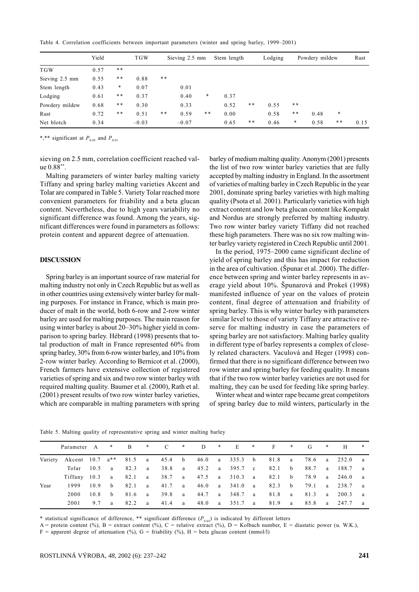Table 4. Correlation coefficients between important parameters (winter and spring barley, 1999-2001)

|                | Yield |        | <b>TGW</b> | Sieving 2.5 mm |         |    | Stem length |     | Lodging |    | Powdery mildew |    |      |
|----------------|-------|--------|------------|----------------|---------|----|-------------|-----|---------|----|----------------|----|------|
| <b>TGW</b>     | 0.57  | **     |            |                |         |    |             |     |         |    |                |    |      |
| Sieving 2.5 mm | 0.55  | * *    | 0.88       | **             |         |    |             |     |         |    |                |    |      |
| Stem length    | 0.43  | $\ast$ | 0.07       |                | 0.01    |    |             |     |         |    |                |    |      |
| Lodging        | 0.61  | **     | 0.37       |                | 0.40    | *  | 0.37        |     |         |    |                |    |      |
| Powdery mildew | 0.68  | **     | 0.30       |                | 0.33    |    | 0.52        | * * | 0.55    | ** |                |    |      |
| Rust           | 0.72  | $***$  | 0.51       | $***$          | 0.59    | ** | 0.00        |     | 0.58    | ** | 0.48           | *  |      |
| Net blotch     | 0.34  |        | $-0.03$    |                | $-0.07$ |    | 0.65        | **  | 0.46    | *  | 0.58           | ** | 0.15 |

\*,\*\* significant at  $P_{0.05}$  and  $P_{0.01}$ 

sieving on 2.5 mm, correlation coefficient reached value  $0.88^{**}$ .

Malting parameters of winter barley malting variety Tiffany and spring barley malting varieties Akcent and Tolar are compared in Table 5. Variety Tolar reached more convenient parameters for friability and a beta glucan content. Nevertheless, due to high years variability no significant difference was found. Among the years, significant differences were found in parameters as follows: protein content and apparent degree of attenuation.

#### **DISCUSSION**

Spring barley is an important source of raw material for malting industry not only in Czech Republic but as well as in other countries using extensively winter barley for malting purposes. For instance in France, which is main producer of malt in the world, both 6-row and 2-row winter barley are used for malting purposes. The main reason for using winter barley is about 20–30% higher yield in comparison to spring barley. Hébrard (1998) presents that total production of malt in France represented 60% from spring barley, 30% from 6-row winter barley, and 10% from 2-row winter barley. According to Bernicot et al. (2000), French farmers have extensive collection of registered varieties of spring and six and two row winter barley with required malting quality. Baumer et al. (2000), Rath et al. (2001) present results of two row winter barley varieties, which are comparable in malting parameters with spring barley of medium malting quality. Anonym (2001) presents the list of two row winter barley varieties that are fully accepted by malting industry in England. In the assortment of varieties of malting barley in Czech Republic in the year 2001, dominate spring barley varieties with high malting quality (Psota et al. 2001). Particularly varieties with high extract content and low beta glucan content like Kompakt and Nordus are strongly preferred by malting industry. Two row winter barley variety Tiffany did not reached these high parameters. There was no six row malting winter barley variety registered in Czech Republic until 2001.

In the period, 1975–2000 came significant decline of yield of spring barley and this has impact for reduction in the area of cultivation. (Spunar et al. 2000). The difference between spring and winter barley represents in average yield about 10%. Spunarová and Prokeš (1998) manifested influence of year on the values of protein content, final degree of attenuation and friability of spring barley. This is why winter barley with parameters similar level to those of variety Tiffany are attractive reserve for malting industry in case the parameters of spring barley are not satisfactory. Malting barley quality in different type of barley represents a complex of closely related characters. Vaculová and Heger (1998) confirmed that there is no significant difference between two row winter and spring barley for feeding quality. It means that if the two row winter barley varieties are not used for malting, they can be used for feeding like spring barley.

Winter wheat and winter rape became great competitors of spring barley due to mild winters, particularly in the

|         | Parameter A * B                                     |      |              |      |     | $\ast$ C | $*$ D |                                     | $*$ E $*$ F                         | $*$ G  | $*$          | H              | *   |
|---------|-----------------------------------------------------|------|--------------|------|-----|----------|-------|-------------------------------------|-------------------------------------|--------|--------------|----------------|-----|
| Variety | Akcent 10.7 a** 81.5 a 45.4 b 46.0 a 335.3 b 81.8 a |      |              |      |     |          |       |                                     |                                     |        |              | 78.6 a 252.0   | a a |
|         | Tolar                                               |      |              |      |     |          |       | 10.5 a 82.3 a 38.8 a 45.2 a 395.7 c | 82.1 b                              |        |              | 88.7 a 188.7 a |     |
|         | Tiffany 10.3 a 82.1 a 38.7 a 47.5 a 310.3 a 82.1 b  |      |              |      |     |          |       |                                     |                                     |        |              | 78.9 a 246.0 a |     |
| Year    | 1999                                                | 10.9 | h            |      |     |          |       |                                     | 82.1 a 41.7 a 46.0 a 341.0 a 82.3 b |        |              | 79.1 a 238.7 a |     |
|         | 2000                                                | 10.8 | $\mathbf{b}$ |      |     |          |       | 81.6 a 39.8 a 44.7 a 348.7 a        | 81.8 a                              | 81.3   | $\mathbf{a}$ | 200.3          | a a |
|         | 2001                                                | 9.7  | a a          | 82.2 | a a | 41.4 a   |       | 48.0 a 351.7 a                      | 81.9 a                              | 85.8 a |              | 247.7          | a a |

Table 5. Malting quality of representative spring and winter malting barley

\* statistical significance of difference, \*\* significant difference  $(P_{0.05})$  is indicated by different letters

A = protein content (%), B = extract content (%), C = relative extract (%), D = Kolbach number, E = diastatic power (u. W.K.),  $F =$  apparent degree of attenuation (%), G = friability (%), H = beta glucan content (mmol/l)